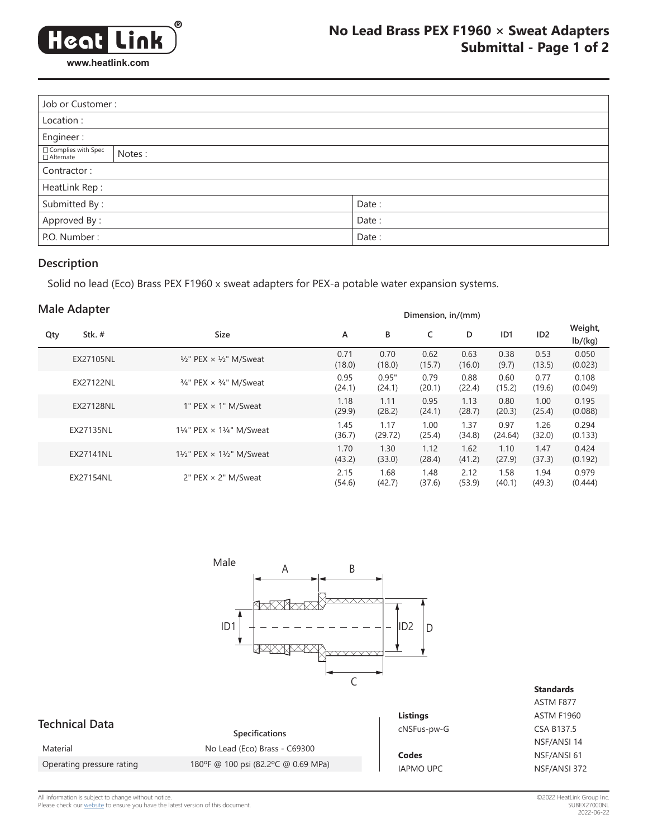

| Job or Customer:                 |        |       |  |  |  |
|----------------------------------|--------|-------|--|--|--|
| Location:                        |        |       |  |  |  |
| Engineer:                        |        |       |  |  |  |
| Complies with Spec<br>□Alternate | Notes: |       |  |  |  |
| Contractor:                      |        |       |  |  |  |
| HeatLink Rep:                    |        |       |  |  |  |
| Submitted By:                    |        | Date: |  |  |  |
| Approved By:                     |        | Date: |  |  |  |
| P.O. Number:                     |        | Date: |  |  |  |

### **Description**

Solid no lead (Eco) Brass PEX F1960 x sweat adapters for PEX-a potable water expansion systems.

### **Male Adapter**

| Male Adapter |                  |                                                      | Dimension, in/(mm) |                 |                |                |                 |                 |                    |
|--------------|------------------|------------------------------------------------------|--------------------|-----------------|----------------|----------------|-----------------|-----------------|--------------------|
| Qty          | Stk.#            | <b>Size</b>                                          | A                  | В               | C              | D              | ID <sub>1</sub> | ID <sub>2</sub> | Weight,<br>lb/(kg) |
|              | EX27105NL        | $\frac{1}{2}$ " PEX $\times$ $\frac{1}{2}$ " M/Sweat | 0.71<br>(18.0)     | 0.70<br>(18.0)  | 0.62<br>(15.7) | 0.63<br>(16.0) | 0.38<br>(9.7)   | 0.53<br>(13.5)  | 0.050<br>(0.023)   |
|              | <b>EX27122NL</b> | $3/4$ " PEX $\times$ $3/4$ " M/Sweat                 | 0.95<br>(24.1)     | 0.95"<br>(24.1) | 0.79<br>(20.1) | 0.88<br>(22.4) | 0.60<br>(15.2)  | 0.77<br>(19.6)  | 0.108<br>(0.049)   |
|              | <b>EX27128NL</b> | 1" PEX $\times$ 1" M/Sweat                           | 1.18<br>(29.9)     | 1.11<br>(28.2)  | 0.95<br>(24.1) | 1.13<br>(28.7) | 0.80<br>(20.3)  | 1.00<br>(25.4)  | 0.195<br>(0.088)   |
|              | EX27135NL        | 11/4" PEX $\times$ 11/4" M/Sweat                     | 1.45<br>(36.7)     | 1.17<br>(29.72) | 1.00<br>(25.4) | 1.37<br>(34.8) | 0.97<br>(24.64) | 1.26<br>(32.0)  | 0.294<br>(0.133)   |
|              | <b>EX27141NL</b> | 11/2" PEX × 11/2" M/Sweat                            | 1.70<br>(43.2)     | 1.30<br>(33.0)  | 1.12<br>(28.4) | 1.62<br>(41.2) | 1.10<br>(27.9)  | 1.47<br>(37.3)  | 0.424<br>(0.192)   |
|              | EX27154NL        | 2" PEX $\times$ 2" M/Sweat                           | 2.15<br>(54.6)     | 1.68<br>(42.7)  | 1.48<br>(37.6) | 2.12<br>(53.9) | 1.58<br>(40.1)  | 1.94<br>(49.3)  | 0.979<br>(0.444)   |



#### **Standards** ASTM F877 ASTM F1960 CSA B137.5 NSF/ANSI 14 NSF/ANSI 61 NSF/ANSI 372

All information is subject to change without notice.<br>Please check our <u>[website](https://www.heatlink.com/resources/literature/submittals?tid_1=2497)</u> to ensure you have the latest version of this document.